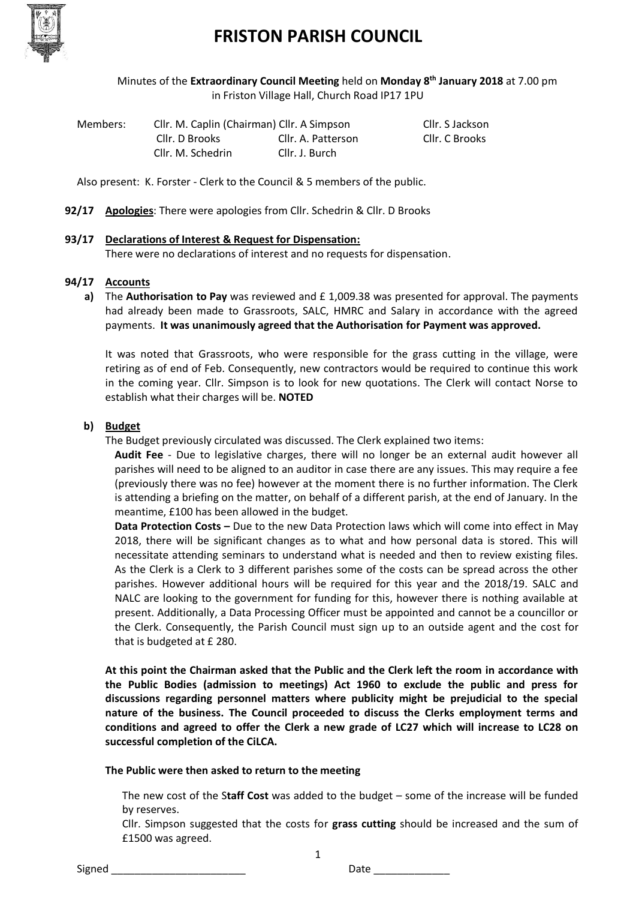

# **FRISTON PARISH COUNCIL**

Minutes of the **Extraordinary Council Meeting** held on **Monday 8 th January 2018** at 7.00 pm in Friston Village Hall, Church Road IP17 1PU

| Members: | Cllr. M. Caplin (Chairman) Cllr. A Simpson |                    | Cllr. S Jackson |
|----------|--------------------------------------------|--------------------|-----------------|
|          | Cllr. D Brooks                             | Cllr. A. Patterson | Cllr. C Brooks  |
|          | Cllr. M. Schedrin                          | Cllr. J. Burch     |                 |

Also present: K. Forster - Clerk to the Council & 5 members of the public.

**92/17 Apologies**: There were apologies from Cllr. Schedrin & Cllr. D Brooks

## **93/17 Declarations of Interest & Request for Dispensation:**

There were no declarations of interest and no requests for dispensation.

## **94/17 Accounts**

**a)** The **Authorisation to Pay** was reviewed and £ 1,009.38 was presented for approval. The payments had already been made to Grassroots, SALC, HMRC and Salary in accordance with the agreed payments. **It was unanimously agreed that the Authorisation for Payment was approved.**

It was noted that Grassroots, who were responsible for the grass cutting in the village, were retiring as of end of Feb. Consequently, new contractors would be required to continue this work in the coming year. Cllr. Simpson is to look for new quotations. The Clerk will contact Norse to establish what their charges will be. **NOTED**

## **b) Budget**

The Budget previously circulated was discussed. The Clerk explained two items:

**Audit Fee** - Due to legislative charges, there will no longer be an external audit however all parishes will need to be aligned to an auditor in case there are any issues. This may require a fee (previously there was no fee) however at the moment there is no further information. The Clerk is attending a briefing on the matter, on behalf of a different parish, at the end of January. In the meantime, £100 has been allowed in the budget.

**Data Protection Costs –** Due to the new Data Protection laws which will come into effect in May 2018, there will be significant changes as to what and how personal data is stored. This will necessitate attending seminars to understand what is needed and then to review existing files. As the Clerk is a Clerk to 3 different parishes some of the costs can be spread across the other parishes. However additional hours will be required for this year and the 2018/19. SALC and NALC are looking to the government for funding for this, however there is nothing available at present. Additionally, a Data Processing Officer must be appointed and cannot be a councillor or the Clerk. Consequently, the Parish Council must sign up to an outside agent and the cost for that is budgeted at £ 280.

**At this point the Chairman asked that the Public and the Clerk left the room in accordance with the Public Bodies (admission to meetings) Act 1960 to exclude the public and press for discussions regarding personnel matters where publicity might be prejudicial to the special nature of the business. The Council proceeded to discuss the Clerks employment terms and conditions and agreed to offer the Clerk a new grade of LC27 which will increase to LC28 on successful completion of the CiLCA.** 

**The Public were then asked to return to the meeting**

The new cost of the S**taff Cost** was added to the budget – some of the increase will be funded by reserves.

Cllr. Simpson suggested that the costs for **grass cutting** should be increased and the sum of £1500 was agreed.

1

Signed \_\_\_\_\_\_\_\_\_\_\_\_\_\_\_\_\_\_\_\_\_\_\_ Date \_\_\_\_\_\_\_\_\_\_\_\_\_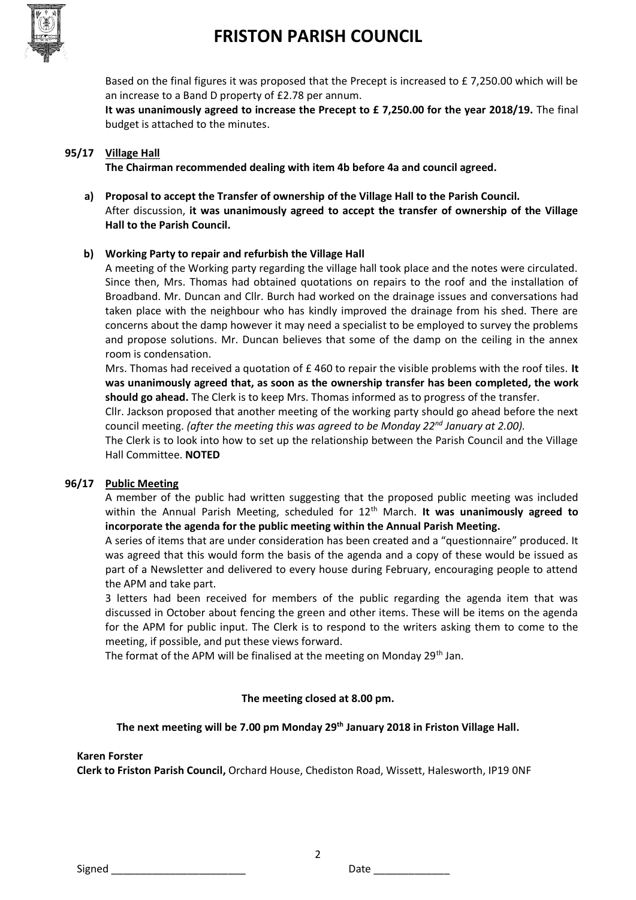

# **FRISTON PARISH COUNCIL**

Based on the final figures it was proposed that the Precept is increased to £ 7,250.00 which will be an increase to a Band D property of £2.78 per annum.

**It was unanimously agreed to increase the Precept to £ 7,250.00 for the year 2018/19.** The final budget is attached to the minutes.

## **95/17 Village Hall**

**The Chairman recommended dealing with item 4b before 4a and council agreed.** 

**a) Proposal to accept the Transfer of ownership of the Village Hall to the Parish Council.** After discussion, **it was unanimously agreed to accept the transfer of ownership of the Village Hall to the Parish Council.** 

## **b) Working Party to repair and refurbish the Village Hall**

A meeting of the Working party regarding the village hall took place and the notes were circulated. Since then, Mrs. Thomas had obtained quotations on repairs to the roof and the installation of Broadband. Mr. Duncan and Cllr. Burch had worked on the drainage issues and conversations had taken place with the neighbour who has kindly improved the drainage from his shed. There are concerns about the damp however it may need a specialist to be employed to survey the problems and propose solutions. Mr. Duncan believes that some of the damp on the ceiling in the annex room is condensation.

Mrs. Thomas had received a quotation of £ 460 to repair the visible problems with the roof tiles. **It was unanimously agreed that, as soon as the ownership transfer has been completed, the work should go ahead.** The Clerk is to keep Mrs. Thomas informed as to progress of the transfer.

Cllr. Jackson proposed that another meeting of the working party should go ahead before the next council meeting. *(after the meeting this was agreed to be Monday 22nd January at 2.00).*

The Clerk is to look into how to set up the relationship between the Parish Council and the Village Hall Committee. **NOTED**

## **96/17 Public Meeting**

A member of the public had written suggesting that the proposed public meeting was included within the Annual Parish Meeting, scheduled for 12<sup>th</sup> March. It was unanimously agreed to **incorporate the agenda for the public meeting within the Annual Parish Meeting.** 

A series of items that are under consideration has been created and a "questionnaire" produced. It was agreed that this would form the basis of the agenda and a copy of these would be issued as part of a Newsletter and delivered to every house during February, encouraging people to attend the APM and take part.

3 letters had been received for members of the public regarding the agenda item that was discussed in October about fencing the green and other items. These will be items on the agenda for the APM for public input. The Clerk is to respond to the writers asking them to come to the meeting, if possible, and put these views forward.

The format of the APM will be finalised at the meeting on Monday 29<sup>th</sup> Jan.

## **The meeting closed at 8.00 pm.**

## **The next meeting will be 7.00 pm Monday 29th January 2018 in Friston Village Hall.**

2

#### **Karen Forster**

**Clerk to Friston Parish Council,** Orchard House, Chediston Road, Wissett, Halesworth, IP19 0NF

Signed **Example 2** Date 2 Date 2 Date 2 Date 2 Date 2 Date 2 Date 2 Date 2 Date 2 Date 2 Date 2 Date 2 Date 2 Date 2 Date 2 Date 2 Date 2 Date 2 Date 2 Date 2 Date 2 Date 2 Date 2 Date 2 Date 2 Date 2 Date 2 Date 2 Date 2